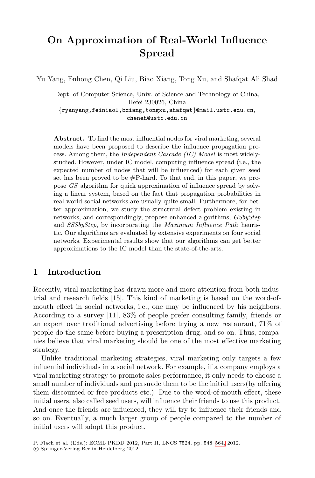# **On Approximation of Real-World Influence Spread**

Yu Yang, Enhong Chen, Qi Liu, Biao Xiang, Tong Xu, and Shafqat Ali Shad

Dept. of Computer Science, Univ. of Science and Technology of China, Hefei 230026, China {ryanyang,feiniaol,bxiang,tongxu,shafqat}@mail.ustc.edu.cn, cheneh@ustc.edu.cn

**Abstract.** To find the most influential nodes for viral marketing, several models have been proposed to describe the influence propagation process. Among them, the *Independent Cascade (IC) Model* is most widelystudied. However, under IC model, computing influence spread (i.e., the expected number of nodes that will be influenced) for each given seed set has been proved to be  $\#P$ -hard. To that end, in this paper, we propose *GS* algorithm for quick approximation of influence spread by solving a linear system, based on the fact that propagation probabilities in real-world social networks are usually quite small. Furthermore, for better approximation, we study the structural defect problem existing in networks, and correspondingly, propose enhanced algorithms, *GSbyStep* and *SSSbyStep*, by incorporating the *Maximum Influence Path* heuristic. Our algorithms are evaluated by extensive experiments on four social networks. Experimental results show that our algorithms can get better approximations to the IC model than the state-of-the-arts.

## **1 Introduction**

Recently, viral marketing has drawn more and more attention from both industrial and research fields [15]. This kind of marketing is based on the word-ofmouth effect in social networks, i.e., one may be influenced by his neighbors. According to a survey [11], 83% of people prefer consulting family, friends or an expert over traditional advertising before trying a new restaurant, 71% of people do the same before buying a prescription drug, and so on. Thus, companies believe that viral marketing should be one of the most effective marketing strategy.

Unlike traditional marketing strategies, viral marketing only targets a few influential individuals in a social network. For example, if a company employs a viral marketing strategy to promote sale[s pe](#page-16-0)rformance, it only needs to choose a small number of individuals and persuade them to be the initial users(by offering them discounted or free products etc.). Due to the word-of-mouth effect, these initial users, also called seed users, will influence their friends to use this product. And once the friends are influenced, they will try to influence their friends and so on. Eventually, a much larger group of people compared to the number of initial users will adopt this product.

P. Flach et al. (Eds.): ECML PKDD 2012, Part II, LNCS 7524, pp. 548–564, 2012.

<sup>-</sup>c Springer-Verlag Berlin Heidelberg 2012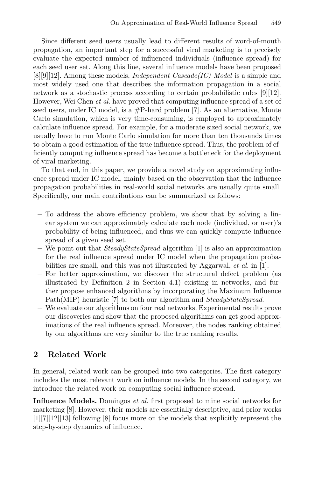Since different seed users usually lead to different results of word-of-mouth propagation, an important step for a successful viral marketing is to precisely evaluate the expected number of influenced individuals (influence spread) for each seed user set. Along this line, several influence models have been proposed [8][9][12]. Among these models, *Independent Cascade(IC) Model* is a simple and most widely used one that describes the information propagation in a social network as a stochastic process according to certain probabilistic rules [9][12]. However, Wei Chen *et al.* have proved that computing influence spread of a set of seed users, under IC model, is a  $#P$ -hard problem [7]. As an alternative, Monte Carlo simulation, which is very time-consuming, is employed to approximately calculate influence spread. For example, for a moderate sized social network, we usually have to run Monte Carlo simulation for more than ten thousands times to obtain a good estimation of the true influence spread. Thus, the problem of efficiently computing influence spread has become a bottleneck for the deployment of viral marketing.

To that end, in this paper, we provide a novel study on approximating influence spread under IC model, mainly based on the observation that the influence propagation probabilities in real-world social networks are usually quite small. Specifically, our main contributions can be summarized as follows:

- **–** To address the above efficiency problem, we show that by solving a linear system we can approximately calculate each node (individual, or user)'s probability of being influenced, and thus we can quickly compute influence spread of a given seed set.
- **–** We point out that *SteadyStateSpread* algorithm [1] is also an approximation for the real influence spread under IC model when the propagation probabilities are small, and this was not illustrated by Aggarwal, *et al.* in [1].
- **–** For better approximation, we discover the structural defect problem (as illustrated by Definition 2 in Section 4.1) existing in networks, and further propose enhanced algorithms by incorporating the Maximum Influence Path(MIP) heuristic [7] to both our algorithm and *SteadyStateSpread*.
- **–** We evaluate our algorithms on four real networks. Experimental results prove our discoveries and show that the proposed algorithms can get good approximations of the real influence spread. Moreover, the nodes ranking obtained by our algorithms are very similar to the true ranking results.

## **2 Related Work**

In general, related work can be grouped into two categories. The first category includes the most relevant work on influence models. In the second category, we introduce the related work on computing social influence spread.

**Influence Models.** Domingos *et al.* first proposed to mine social networks for marketing [8]. However, their models are essentially descriptive, and prior works [1][7][12][13] following [8] focus more on the models that explicitly represent the step-by-step dynamics of influence.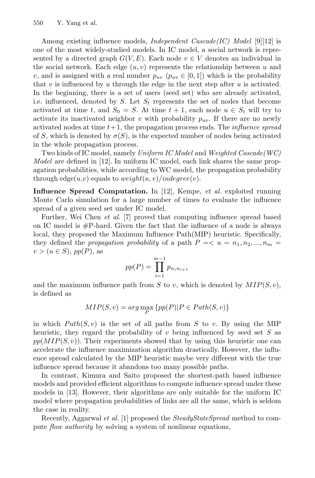Among existing influence models, *Independent Cascade(IC) Model* [9][12] is one of the most widely-studied models. In IC model, a social network is represented by a directed graph  $G(V, E)$ . Each node  $v \in V$  denotes an individual in the social network. Each edge  $(u, v)$  represents the relationship between u and v, and is assigned with a real number  $p_{uv}$  ( $p_{uv} \in [0,1]$ ) which is the probability that  $v$  is influenced by  $u$  through the edge in the next step after  $u$  is activated. In the beginning, there is a set of users (seed set) who are already activated, i.e. influenced, denoted by S. Let S*<sup>t</sup>* represents the set of nodes that become activated at time t, and  $S_0 = S$ . At time  $t + 1$ , each node  $u \in S_t$  will try to activate its inactivated neighbor v with probability  $p_{uv}$ . If there are no newly activated nodes at time t+ 1, the propagation process ends. The *influence spread* of S, which is denoted by  $\sigma(S)$ , is the expected number of nodes being activated in the whole propagation process.

Two kinds of IC model, namely *Uniform IC Model* and *Weighted Cascade(WC) Model* are defined in [12]. In uniform IC model, each link shares the same propagation probabilities, while according to WC model, the propagation probability through edge $(u, v)$  equals to  $weight(u, v)/indegree(v)$ .

**Influence Spread Computation.** In [12], Kempe, *et al.* exploited running Monte Carlo simulation for a large number of times to evaluate the influence spread of a given seed set under IC model.

Further, Wei Chen *et al.* [7] proved that computing influence spread based on IC model is  $\#P$ -hard. Given the fact that the influence of a node is always local, they proposed the Maximum Influence Path(MIP) heuristic. Specifically, they defined the *propagation probability* of a path  $P = \langle u = n_1, n_2, ..., n_m =$  $v > (u \in S)$ , pp $(P)$ , as

$$
pp(P) = \prod_{i=1}^{m-1} p_{n_i n_{i+1}}
$$

and the maximum influence path from S to v, which is denoted by  $MIP(S, v)$ , is defined as

$$
MIP(S,v)=\arg\max_{P}\left\{ pp(P)|P\in Path(S,v)\right\}
$$

in which  $Path(S, v)$  is the set of all paths from S to v. By using the MIP heuristic, they regard the probability of v being influenced by seed set  $S$  as  $pp(MIP(S, v))$ . Their experiments showed that by using this heuristic one can accelerate the influence maximization algorithm drastically. However, the influence spread calculated by the MIP heuristic maybe very different with the true influence spread because it abandons too many possible paths.

In contrast, Kimura and Saito proposed the shortest-path based influence models and provided efficient algorithms to compute influence spread under these models in [13]. However, their algorithms are only suitable for the uniform IC model where propagation probabilities of links are all the same, which is seldom the case in reality.

Recently, Aggarwal *et al.* [1] proposed the *SteadyStateSpread* method to compute *flow authority* by solving a system of nonlinear equations,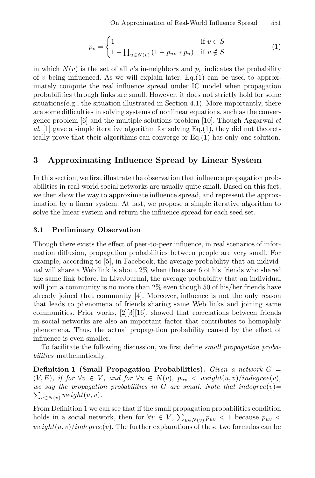$$
p_v = \begin{cases} 1 & \text{if } v \in S \\ 1 - \prod_{u \in N(v)} (1 - p_{uv} * p_u) & \text{if } v \notin S \end{cases}
$$
 (1)

in which  $N(v)$  is the set of all v's in-neighbors and  $p_v$  indicates the probability of v being influenced. As we will explain later,  $Eq.(1)$  can be used to approximately compute the real influence spread under IC model when propagation probabilities through links are small. However, it does not strictly hold for some situations(e.g., the situation illustrated in Section 4.1). More importantly, there are some difficulties in solving systems of nonlinear equations, such as the convergence problem [6] and the multiple solutions problem [10]. Though Aggarwal *et* al. [1] gave a simple iterative algorithm for solving  $Eq.(1)$ , they did not theoretically prove that their algorithms can converge or Eq.(1) has only one solution.

## **3 Approximating Influence Spread by Linear System**

In this section, we first illustrate the observation that influence propagation probabilities in real-world social networks are usually quite small. Based on this fact, we then show the way to approximate influence spread, and represent the approximation by a linear system. At last, we propose a simple iterative algorithm to solve the linear system and return the influence spread for each seed set.

#### **3.1 Preliminary Observation**

Though there exists the effect of peer-to-peer influence, in real scenarios of information diffusion, propagation probabilities between people are very small. For example, according to [5], in Facebook, the average probability that an individual will share a Web link is about 2% when there are 6 of his friends who shared the same link before. In LiveJournal, the average probability that an individual will join a community is no more than 2% even though 50 of his/her friends have already joined that community [4]. Moreover, influence is not the only reason that leads to phenomena of friends sharing same Web links and joining same communities. Prior works, [2][3][16], showed that correlations between friends in social networks are also an important factor that contributes to homophily phenomena. Thus, the actual propagation probability caused by the effect of influence is even smaller.

To facilitate the following discussion, we first define *small propagation probabilities* mathematically.

**Definition 1 (Small Propagation Probabilities).** *Given a network* G =  $(V, E)$ *, if for*  $\forall v \in V$ *, and for*  $\forall u \in N(v)$ *,*  $p_{uv} < weight(u, v) / indegree(v)$ *,*  $\sum_{u \in N(v)} weight(u, v)$ . *we say the propagation probabilities in*  $G$  *are small. Note that indegree* $(v)$ =

From Definition 1 we can see that if the small propagation probabilities condition holds in a social network, then for  $\forall v \in V$ ,  $\sum_{u \in N(v)} p_{uv} < 1$  because  $p_{uv} <$  $weight(u, v)/indegree(v)$ . The further explanations of these two formulas can be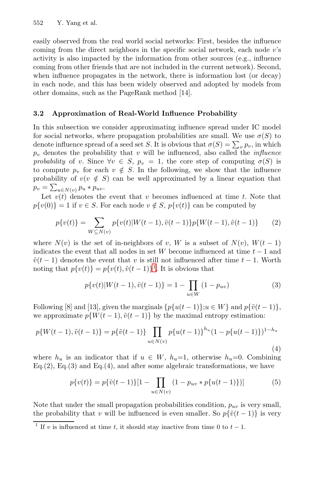552 Y. Yang et al.

easily observed from the real world social networks: First, besides the influence coming from the direct neighbors in the specific social network, each node v's activity is also impacted by the information from other sources (e.g., influence coming from other friends that are not included in the current network). Second, when influence propagates in the network, there is information lost (or decay) in each node, and this has been widely observed and adopted by models from other domains, such as the PageRank method [14].

#### **3.2 Approximation of Real-World Influence Probability**

In this subsection we consider approximating influence spread under IC model for social networks, where propagation probabilities are small. We use  $\sigma(S)$  to denote influence spread of a seed set S. It is obvious that  $\sigma(S) = \sum_{v} p_v$ , in which  $p<sub>v</sub>$  denotes the probability that v will be influenced, also called the *influence probability* of v. Since  $\forall v \in S$ ,  $p_v = 1$ , the core step of computing  $\sigma(S)$  is to compute  $p_v$  for each  $v \notin S$ . In the following, we show that the influence probability of  $v(v \notin S)$  can be well approximated by a linear equation that  $p_v = \sum_{u \in N(v)} p_u * p_{uv}.$ 

Let  $v(t)$  denotes the event that v becomes influenced at time t. Note that  $p\{v(0)\}=1$  if  $v \in S$ [.](#page-4-0) For each node  $v \notin S$ ,  $p\{v(t)\}\)$  can be computed by

$$
p\{v(t)\} = \sum_{W \subseteq N(v)} p\{v(t)|W(t-1), \tilde{v}(t-1)\} p\{W(t-1), \tilde{v}(t-1)\}
$$
 (2)

where  $N(v)$  is the set of in-neighbors of v, W is a subset of  $N(v)$ ,  $W(t-1)$ indicates the event that all nodes in set W become influenced at time  $t - 1$  and  $\tilde{v}(t-1)$  denotes the event that v is still not influenced after time  $t-1$ . Worth noting that  $p\{v(t)\} = p\{v(t), \tilde{v}(t-1)\}^1$ . It is obvious that

$$
p\{v(t)|W(t-1),\tilde{v}(t-1)\} = 1 - \prod_{u \in W} (1 - p_{uv})
$$
\n(3)

<span id="page-4-0"></span>Following [8] and [13], given the marginals  $\{p\{u(t-1)\};u\in W\}$  and  $p\{\tilde{v}(t-1)\}$ , we approximate  $p\{W(t-1), \tilde{v}(t-1)\}\$  by the maximal entropy estimation:

$$
p\{W(t-1), \tilde{v}(t-1)\} = p\{\tilde{v}(t-1)\} \prod_{u \in N(v)} p\{u(t-1)\}^{h_u} (1 - p\{u(t-1)\})^{1-h_u}
$$
\n(4)

where  $h_u$  is an indicator that if  $u \in W$ ,  $h_u=1$ , otherwise  $h_u=0$ . Combining Eq.(2), Eq.(3) and Eq.(4), and after some algebraic transformations, we have

$$
p\{v(t)\} = p\{\tilde{v}(t-1)\}[1 - \prod_{u \in N(v)} (1 - p_{uv} * p\{u(t-1)\})]
$$
(5)

Note that under the small propagation probabilities condition, p*uv* is very small, the probability that v will be influenced is even smaller. So  $p\{\tilde{v}(t-1)\}\$ is very

<sup>&</sup>lt;sup>1</sup> If v is influenced at time t, it should stay inactive from time 0 to  $t-1$ .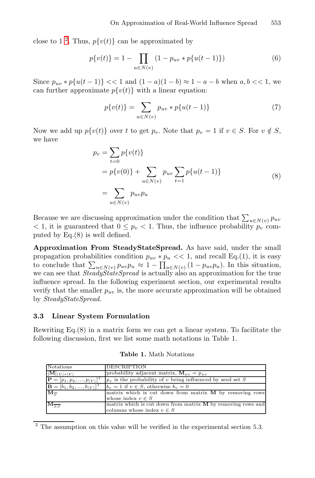close to 1<sup>2</sup>. Thus,  $p\{v(t)\}\$ can be approximated by

$$
p\{v(t)\} = 1 - \prod_{u \in N(v)} (1 - p_{uv} * p\{u(t-1)\})
$$
\n(6)

Since  $p_{uv} * p{u(t-1)} < 1$  and  $(1 - a)(1 - b) \approx 1 - a - b$  when  $a, b < 1$ , we can further approximate  $p\{v(t)\}\$  with a linear equation:

$$
p\{v(t)\} = \sum_{u \in N(v)} p_{uv} * p\{u(t-1)\}
$$
\n(7)

Now we add up  $p\{v(t)\}\$  over t to get  $p_v$ . Note that  $p_v = 1$  if  $v \in S$ . For  $v \notin S$ , we have

$$
p_v = \sum_{t=0} p\{v(t)\}\
$$
  
=  $p\{v(0)\} + \sum_{u \in N(v)} p_{uv} \sum_{t=1} p\{u(t-1)\}\$   
=  $\sum_{u \in N(v)} p_{uv} p_u$  (8)

Because we are discussing approximation under the condition that  $\sum_{u \in N(v)} p_{uv}$  $< 1$ , it is guaranteed that  $0 \leq p_v < 1$ . Thus, the influence probability  $p_v$  computed by Eq.(8) is well defined.

**Approximation From SteadyStateSpread.** As have said, under the small propagation probabilities condition  $p_{uv} * p_u < 1$ , and recall Eq.(1), it is easy to conclude that  $\sum_{u \in N(v)} p_{uv} p_u \approx 1 - \prod_{u \in N(v)} (1 - p_{uv} p_u)$ . In this situation, we can see that *SteadyStateSpread* is actually also an approximation for the true influence spread. In the following experiment section, our experimental results verify that the smaller  $p_{uv}$  is, the more accurate approximation will be obtained by *SteadyStateSpread*.

#### **3.3 Linear System Formulation**

Rewriting Eq.(8) in a matrix form we can get a linear system. To facilitate the following discussion, first we list some math notations in Table 1.

**Table 1.** Math Notations

| Notations                              | <b>DESCRIPTION</b>                                             |
|----------------------------------------|----------------------------------------------------------------|
| $\llbracket [\mathbf{M}]_{ V * V }$    | probability adjacent matrix, $\mathbf{M}_{uv} = p_{uv}$        |
| $\mathbf{P} = [p_1, p_2, , p_{ V }]^T$ | $ p_v $ is the probability of v being influenced by seed set S |
| $\mathbf{B} = [b_1, b_2, , b_{ V }]^T$ | $b_v = 1$ if $v \in S$ , otherwise $b_v = 0$                   |
| $\overline{\rm M_{\overline{g}}}$      | matrix which is cut down from matrix $M$ by removing rows      |
|                                        | whose index $v \in S$                                          |
| $\overline{\rm M}_{SS}$                | matrix which is cut down from matrix M by removing rows and    |
|                                        | columns whose index $v \in S$                                  |

 $2$  The assumption on this value will be verified in the experimental section 5.3.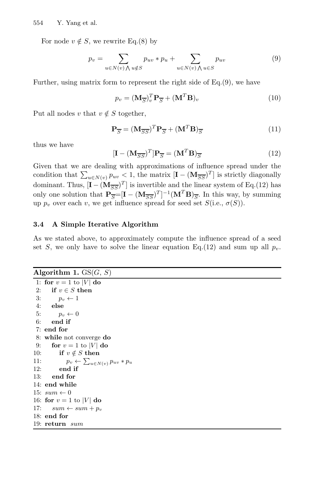For node  $v \notin S$ , we rewrite Eq.(8) by

$$
p_v = \sum_{u \in N(v) \land u \notin S} p_{uv} * p_u + \sum_{u \in N(v) \land u \in S} p_{uv}
$$
(9)

Further, using matrix form to represent the right side of Eq.(9), we have

$$
p_v = (\mathbf{M}_{\overline{S}})_v^T \mathbf{P}_{\overline{S}} + (\mathbf{M}^T \mathbf{B})_v
$$
 (10)

Put all nodes v that  $v \notin S$  together,

$$
\mathbf{P}_{\overline{S}} = (\mathbf{M}_{\overline{S}\overline{S}})^T \mathbf{P}_{\overline{S}} + (\mathbf{M}^T \mathbf{B})_{\overline{S}}
$$
(11)

thus we have

$$
[\mathbf{I} - (\mathbf{M}_{\overline{S}\overline{S}})^T] \mathbf{P}_{\overline{S}} = (\mathbf{M}^T \mathbf{B})_{\overline{S}}
$$
(12)

Given that we are dealing with approximations of influence spread under the condition that  $\sum_{u \in N(v)} p_{uv} < 1$ , the matrix  $[\mathbf{I} - (\mathbf{M}_{\overline{SS}})^T]$  is strictly diagonally dominant. Thus,  $[\mathbf{I} - (\mathbf{M}_{\overline{SS}})^T]$  is invertible and the linear system of Eq.(12) has only one solution that  $P_{\overline{S}}=[I - (M_{\overline{SS}})^T]^{-1}(M^T B)_{\overline{S}}$ . In this way, by summing up  $p_v$  over each v, we get influence spread for seed set  $S(i.e., \sigma(S))$ .

## **3.4 A Simple Iterative Algorithm**

As we stated above, to approximately compute the influence spread of a seed set S, we only have to solve the linear equation Eq.(12) and sum up all  $p_v$ .

| Algorithm 1. $GS(G, S)$ |  |  |  |  |
|-------------------------|--|--|--|--|
|-------------------------|--|--|--|--|

```
1: for v = 1 to |V| do
2: if v \in S then
3: p_v \leftarrow 14: else
5: p_v \leftarrow 06: end if
7: end for
8: while not converge do
9: for v = 1 to |V| do
10: if v \notin S then
11: p_v \leftarrow \sum_{u \in N(v)} p_{uv} * p_u12: end if
13: end for
14: end while
15: sum \leftarrow 016: for v = 1 to |V| do
17: sum \leftarrow sum + p_v18: end for
19: return sum
```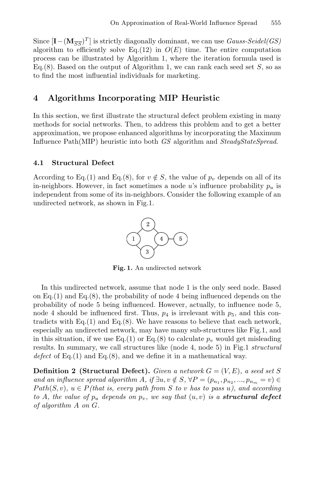Since  $[I - (M_{\overline{SS}})^T]$  is strictly diagonally dominant, we can use *Gauss-Seidel(GS)* algorithm to efficiently solve Eq.(12) in  $O(E)$  time. The entire computation process can be illustrated by Algorithm 1, where the iteration formula used is Eq.(8). Based on the output of Algorithm 1, we can rank each seed set  $S$ , so as to find the most influential individuals for marketing.

## **4 Algorithms Incorporating MIP Heuristic**

In this section, we first illustrate the structural defect problem existing in many methods for social networks. Then, to address this problem and to get a better approximation, we propose enhanced algorithms by incorporating the Maximum Influence Path(MIP) heuristic into both *GS* algorithm and *SteadyStateSpread*.

### **4.1 Structural Defect**

According to Eq.(1) and Eq.(8), for  $v \notin S$ , the value of  $p_v$  depends on all of its in-neighbors. However, in fact sometimes a node u's influence probability p*<sup>u</sup>* is independent from some of its in-neighbors. Consider the following example of an undirected network, as shown in Fig.1.



**Fig. 1.** An undirected network

In this undirected network, assume that node 1 is the only seed node. Based on Eq.(1) and Eq.(8), the probability of node 4 being influenced depends on the probability of node 5 being influenced. However, actually, to influence node 5, node 4 should be influenced first. Thus,  $p_4$  is irrelevant with  $p_5$ , and this contradicts with  $Eq.(1)$  and  $Eq.(8)$ . We have reasons to believe that each network, especially an undirected network, may have many sub-structures like Fig.1, and in this situation, if we use Eq.(1) or Eq.(8) to calculate  $p_v$  would get misleading results. In summary, we call structures like (node 4, node 5) in Fig.1 *structural defect* of Eq.(1) and Eq.(8), and we define it in a mathematical way.

**Definition 2 (Structural Defect).** *Given a network*  $G = (V, E)$ *, a seed set* S *and an influence spread algorithm A, if*  $\exists u, v \notin S$ ,  $\forall P = (p_{n_1}, p_{n_2}, ..., p_{n_m} = v) \in$  $Path(S, v)$ ,  $u \in P$ *(that is, every path from S to v has to pass u), and according to* A, the value of  $p_u$  depends on  $p_v$ , we say that  $(u, v)$  is a **structural defect** *of algorithm* A *on* G*.*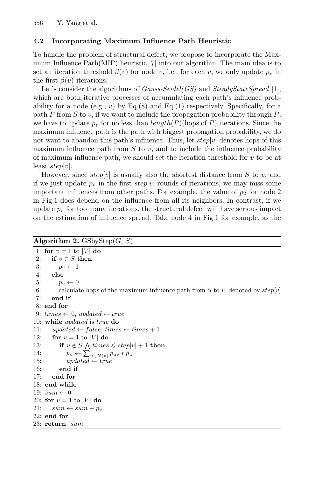## **4.2 Incorporating Maximum Influence Path Heuristic**

To handle the problem of structural defect, we propose to incorporate the Maximum Influence Path(MIP) heuristic [7] into our algorithm. The main idea is to set an iteration threshold  $\beta(v)$  for node v, i.e., for each v, we only update  $p_v$  in the first  $\beta(v)$  iterations.

Let's consider the algorithms of *Gauss-Seidel(GS)* and *SteadyStateSpread* [1], which are both iterative processes of accumulating each path's influence probability for a node (e.g., v) by  $Eq.(8)$  and  $Eq.(1)$  respectively. Specifically, for a path  $P$  from  $S$  to  $v$ , if we want to include the propagation probability through  $P$ , we have to update  $p_v$  for no less than *length* $(P)$ (hops of P) iterations. Since the maximum influence path is the path with biggest propagation probability, we do not want to abandon this path's influence. Thus, let  $step[v]$  denotes hops of this maximum influence path from  $S$  to  $v$ , and to include the influence probability of maximum influence path, we should set the iteration threshold for  $v$  to be at least  $step[v]$ .

However, since  $step[v]$  is usually also the shortest distance from S to v, and if we just update  $p_v$  in the first step[v] rounds of iterations, we may miss some important influences from other paths. For example, the value of  $p_2$  for node 2 in Fig.1 does depend on the influence from all its neighbors. In contrast, if we update  $p<sub>v</sub>$  for too many iterations, the structural defect will have serious impact on the estimation of influence spread. Take node 4 in Fig.1 for example, as the

#### **Algorithm 2.** GSbyStep $(G, S)$

```
1: for v = 1 to |V| do
2: if v \in S then
3: p_v \leftarrow 14: else
5: p_v \leftarrow 06: calculate hops of the maximum influence path from S to v, denoted by step[v]7: end if
8: end for
9: times \leftarrow 0, updated \leftarrow true10: while updated is true do
11: updated \leftarrow false, times \leftarrow times +112: for v = 1 to |V| do
13: if v \notin S \land times \leq step[v] + 1 then
14: p_v \leftarrow \sum_{u \in N(v)} p_{uv} * p_u15: updated \leftarrow true16: end if
17: end for
18: end while
19: sum \leftarrow 020: for v = 1 to |V| do
21: sum \leftarrow sum + p_v22: end for
23: return sum
```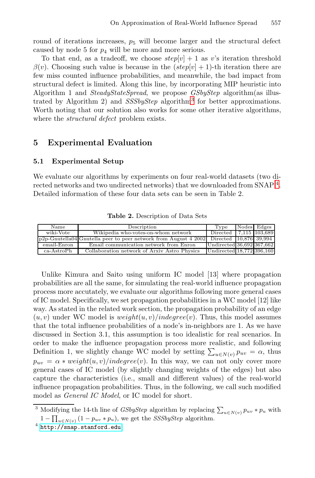round of iterations increases,  $p_5$  will become larger and the structural defect caused by node 5 for  $p_4$  will be more and more serious.

To that end, as a tradeoff, we choose  $step[v] + 1$  as v's iteration threshold  $\beta(v)$ . Choosing such value is because in the  $(\text{step}[v] + 1)$ -th iteration there are few miss counted influence probabilities, and meanwhile, the bad impact from structural defect is limited. Along this line, by incorporating MIP heuristic into Algorithm 1 and *SteadyStateSpread*, we propose *GSbyStep* algorithm(as illustrated by Algorithm 2) and *SSSbyStep* algorithm<sup>3</sup> for better approximations. Worth noting that our solution also works for some other iterative algorithms, where the *structural defect* problem exists.

## **5 Experimental Evaluation**

#### **5.1 Experimental Setup**

We evaluate our algorithms by experiments on four real-world datasets (two directed networks and two undirected networks) that we downloaded from SNAP <sup>4</sup>. Detailed information of these four data sets can be seen in Table 2.

| Name         | Description                                                                                  | Type                      | Nodes Edges |
|--------------|----------------------------------------------------------------------------------------------|---------------------------|-------------|
| wiki-Vote    | Wikipedia who-votes-on-whom network                                                          | Directed 17.115 103.689   |             |
|              | $ p2p-Gnutella04 Gnutella peer to peer network from August 4 2002  Directed  10,876  39,994$ |                           |             |
| email-Enron  | Email communication network from Enron                                                       | Undirected 36,692 367,662 |             |
| $ca-AstroPh$ | Collaboration network of Arxiv Astro Physics                                                 | Undirected 18,772 396,160 |             |

**Table 2.** Description of Data Sets

Unlike Kimura and Saito using uniform IC model [13] where propagation probabilities are all the same, for simulating the real-world influence propagation process more accutately, we evaluate our algorithms following more general cases of IC model. Specifically, we set propagation probabilities in a WC model [12] like way. As stated in the related work section, the propagation probability of an edge  $(u, v)$  under WC model is  $weight(u, v)/indegree(v)$ . Thus, this model assumes that the total influence probabilities of a node's in-neighbors are 1. As we have discussed in Section 3.1, this assumption is too idealistic for real scenarios. In order to make the influence propagation process more realistic, and following Definition 1, we slightly change WC model by setting  $\sum_{u \in N(v)} p_{uv} = \alpha$ , thus  $p_{uv} = \alpha * weight(u, v)/indegree(v)$  $p_{uv} = \alpha * weight(u, v)/indegree(v)$  $p_{uv} = \alpha * weight(u, v)/indegree(v)$ . In this way, we can not only cover more general cases of IC model (by slightly changing weights of the edges) but also capture the characteristics (i.e., small and different values) of the real-world influence propagation probabilities. Thus, in the following, we call such modified model as *General IC Model*, or IC model for short.

<sup>&</sup>lt;sup>3</sup> Modifying the 14-th line of *GSbyStep* algorithm by replacing  $\sum_{u \in N(v)} p_{uv} * p_u$  with  $1 - \prod_{u \in N(v)} (1 - p_{uv} * p_u)$ , we get the *SSSbyStep* algorithm.<br><sup>4</sup> http://snap.stanford.edu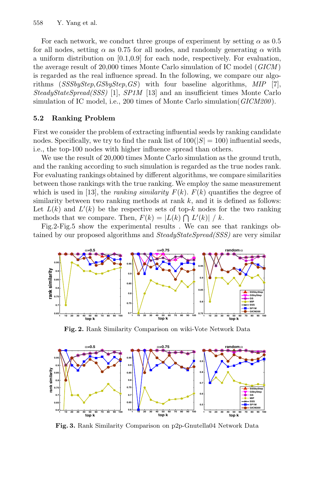For each network, we conduct three groups of experiment by setting  $\alpha$  as 0.5 for all nodes, setting  $\alpha$  as 0.75 for all nodes, and randomly generating  $\alpha$  with a uniform distribution on [0.1,0.9] for each node, respectively. For evaluation, the average result of 20,000 times Monte Carlo simulation of IC model (*GICM* ) is regarded as the real influence spread. In the following, we compare our algorithms (*SSSbyStep*,*GSbyStep*,*GS*) with four baseline algorithms, *MIP* [7], *SteadyStateSpread(SSS)* [1], *SP1M* [13] and an insufficient times Monte Carlo simulation of IC model, i.e., 200 times of Monte Carlo simulation(*GICM200*).

## **5.2 Ranking Problem**

First we consider the problem of extracting influential seeds by ranking candidate nodes. Specifically, we try to find the rank list of  $100(|S| = 100)$  influential seeds, i.e., the top-100 nodes with higher influence spread than others.

We use the result of 20,000 times Monte Carlo simulation as the ground truth, and the ranking according to such simulation is regarded as the true nodes rank. For evaluating rankings obtained by different algorithms, we compare similarities between those rankings with the true ranking. We employ the same measurement which is used in [13], the *ranking similarity*  $F(k)$ .  $F(k)$  quantifies the degree of similarity between two ranking methods at rank  $k$ , and it is defined as follows: Let  $L(k)$  and  $L'(k)$  be the respective sets of top-k nodes for the two ranking methods that we compare. Then,  $F(k) = |L(k) \cap L'(k)| / k$ .

Fig.2-Fig.5 show the experimental results . We can see that rankings obtained by our proposed algorithms and *SteadyStateSpread(SSS)* are very similar



**Fig. 2.** Rank Similarity Comparison on wiki-Vote Network Data



**Fig. 3.** Rank Similarity Comparison on p2p-Gnutella04 Network Data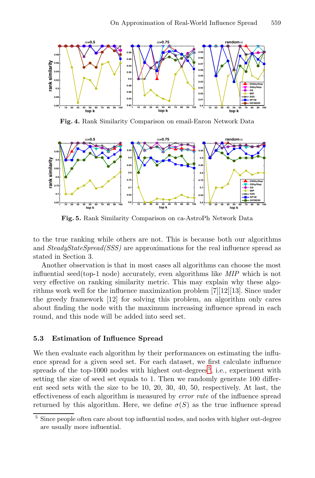

**Fig. 4.** Rank Similarity Comparison on email-Enron Network Data



**Fig. 5.** Rank Similarity Comparison on ca-AstroPh Network Data

to the true ranking while others are not. This is because both our algorithms and *SteadyStateSpread(SSS)* are approximations for the real influence spread as stated in Section 3.

<span id="page-11-0"></span>Another observation is that in most cases all algorithms can choose the most influential seed(top-1 node) accurately, even algorithms like *MIP* which is not very effective on ranking similarity metric. This may explain why these algorithms work well for the influence maximization problem [7][12][13]. Since under the greedy framework [12] for solvi[ng](#page-11-0) this problem, an algorithm only cares about finding the node with the maximum increasing influence spread in each round, and this node will be added into seed set.

## **5.3 Estimation of Influence Spread**

We then evaluate each algorithm by their performances on estimating the influence spread for a given seed set. For each dataset, we first calculate influence spreads of the top-1000 nodes with highest out-degrees<sup>5</sup>, i.e., experiment with setting the size of seed set equals to 1. Then we randomly generate 100 different seed sets with the size to be 10, 20, 30, 40, 50, respectively. At last, the effectiveness of each algorithm is measured by *error rate* of the influence spread returned by this algorithm. Here, we define  $\sigma(S)$  as the true influence spread

<sup>5</sup> Since people often care about top influential nodes, and nodes with higher out-degree are usually more influential.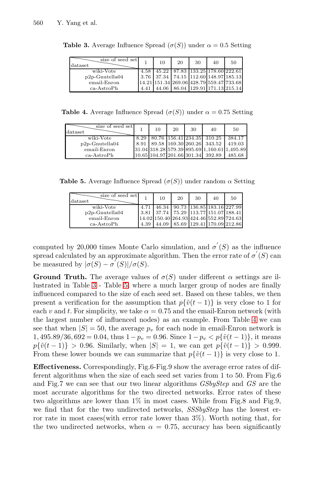<span id="page-12-0"></span>560 Y. Yang et al.

| size of seed set<br>$_{\rm dataset}$ |      | 10    | 20                                       | 30                         | 40 | 50 |
|--------------------------------------|------|-------|------------------------------------------|----------------------------|----|----|
| wiki-Vote                            | 4.58 |       | 45.22   87.83   133.25   178.60   222.61 |                            |    |    |
| $p2p$ -Gnutella04                    |      |       | 3.76 37.34 74.15 112.60 148.97 185.13    |                            |    |    |
| email-Enron                          |      |       | 14.21 151.34 269.06 428.79 559.47 733.68 |                            |    |    |
| $ca-AstroPh$                         | 4.41 | 44.06 |                                          | 86.04 129.91 171.13 215.14 |    |    |

**Table 3.** Average Influence Spread  $(\sigma(S))$  under  $\alpha = 0.5$  Setting

**Table 4.** Average Influence Spread  $(\sigma(S))$  under  $\alpha = 0.75$  Setting

| size of seed set<br>$_{\rm dataset}$ |      | 10 | 20 | 30 | 40                                           | 50     |
|--------------------------------------|------|----|----|----|----------------------------------------------|--------|
| wiki-Vote                            | 8.29 |    |    |    | 80.76 156.41 234.35 310.25                   | 384.17 |
| $p2p$ -Gnutella04                    |      |    |    |    | 8.91 89.58 169.30 260.26 343.52 419.03       |        |
| email-Enron                          |      |    |    |    | 31.04 318.28 579.39 895.69 1.160.61 1.495.89 |        |
| ca-AstroPh                           |      |    |    |    | 10.65 104.97 201.66 301.34 392.89            | 485.68 |

**Table 5.** Average Influence Spread  $(\sigma(S))$  under random  $\alpha$  Setting

| size of seed set<br>dataset |      | 10      | 20                                       | 30 | 40                         | 50 |
|-----------------------------|------|---------|------------------------------------------|----|----------------------------|----|
| wiki-Vote                   | 4.71 | 46.34   | 90.73   136.85   183.16   227.99         |    |                            |    |
| $p2p$ -Gnutella04           | 3.81 | 37.74 L |                                          |    | 75.29 113.77 151.07 188.41 |    |
| email-Enron                 |      |         | 14.02 150.40 264.93 424.46 552.89 724.63 |    |                            |    |
| ca-AstroPh                  | 4.39 | 44.09   |                                          |    | 85.69 129.41 170.09 212.86 |    |

computed by 20,000 times Monte Carlo simulation, and  $\sigma'(S)$  as the influence spread calculated by an approximate algorithm. The[n t](#page-12-0)he error rate of  $\sigma^{'}(S)$  can be measured by  $|\sigma(S) - \sigma'(S)|/\sigma(S)$ .

**Ground Truth.** The average values of  $\sigma(S)$  under different  $\alpha$  settings are illustrated in Table 3 - Table 5, where a much larger group of nodes are finally influenced compared to the size of each seed set. Based on these tables, we then present a verification for the assumption that  $p\{\tilde{v}(t-1)\}\$  is very close to 1 for each v and t. For simplicity, we take  $\alpha = 0.75$  and the email-Enron network (with the largest number of influenced nodes) as an example. From Table 4 we can see that when  $|S| = 50$ , the average  $p_v$  for each node in email-Enron network is  $1,495.89/36,692 = 0.04$ , thus  $1-p_v = 0.96$ . Since  $1-p_v < p\{\tilde{v}(t-1)\}\$ , it means  $p\{\tilde{v}(t-1)\} > 0.96$ . Similarly, when  $|S| = 1$ , we can get  $p\{\tilde{v}(t-1)\} > 0.999$ . From these lower bounds we can summarize that  $p\{\tilde{v}(t-1)\}\$ is very close to 1.

**Effectiveness.** Correspondingly, Fig.6-Fig.9 show the average error rates of different algorithms when the size of each seed set varies from 1 to 50. From Fig.6 and Fig.7 we can see that our two linear algorithms *GSbyStep* and *GS* are the most accurate algorithms for the two directed networks. Error rates of these two algorithms are lower than 1% in most cases. While from Fig.8 and Fig.9, we find that for the two undirected networks, *SSSbyStep* has the lowest error rate in most cases(with error rate lower than 3%). Worth noting that, for the two undirected networks, when  $\alpha = 0.75$ , accuracy has been significantly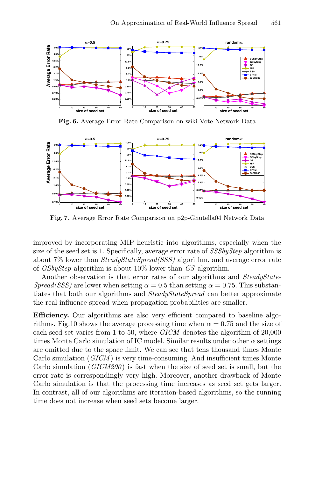

**Fig. 6.** Average Error Rate Comparison on wiki-Vote Network Data



**Fig. 7.** Average Error Rate Comparison on p2p-Gnutella04 Network Data

improved by incorporating MIP heuristic into algorithms, especially when the size of the seed set is 1. Specifically, average error rate of *SSSbyStep* algorithm is about 7% lower than *SteadyStateSpread(SSS)* algorithm, and average error rate of *GSbyStep* algorithm is about 10% lower than *GS* algorithm.

Another observation is that error rates of our algorithms and *SteadyState-Spread(SSS)* are lower when setting  $\alpha = 0.5$  than setting  $\alpha = 0.75$ . This substantiates that both our algorithms and *SteadyStateSpread* can better approximate the real influence spread when propagation probabilities are smaller.

**Efficiency.** Our algorithms are also very efficient compared to baseline algorithms. Fig.10 shows the average processing time when  $\alpha = 0.75$  and the size of each seed set varies from 1 to 50, where *GICM* denotes the algorithm of 20,000 times Monte Carlo simulation of IC model. Similar results under other  $\alpha$  settings are omitted due to the space limit. We can see that tens thousand times Monte Carlo simulation (*GICM* ) is very time-consuming. And insufficient times Monte Carlo simulation (*GICM200*) is fast when the size of seed set is small, but the error rate is correspondingly very high. Moreover, another drawback of Monte Carlo simulation is that the processing time increases as seed set gets larger. In contrast, all of our algorithms are iteration-based algorithms, so the running time does not increase when seed sets become larger.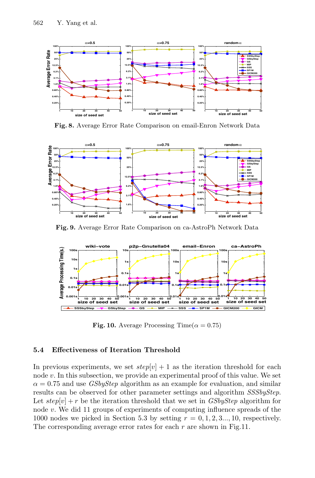

**Fig. 8.** Average Error Rate Comparison on email-Enron Network Data



**Fig. 9.** Average Error Rate Comparison on ca-AstroPh Network Data



**Fig. 10.** Average Processing Time( $\alpha = 0.75$ )

### **5.4 Effectiveness of Iteration Threshold**

In previous experiments, we set  $step[v] + 1$  as the iteration threshold for each node v. In this subsection, we provide an experimental proof of this value. We set  $\alpha = 0.75$  and use *GSbyStep* algorithm as an example for evaluation, and similar results can be observed for other parameter settings and algorithm *SSSbyStep*. Let  $step[v] + r$  be the iteration threshold that we set in *GSbyStep* algorithm for node v. We did 11 groups of experiments of computing influence spreads of the 1000 nodes we picked in Section 5.3 by setting  $r = 0, 1, 2, 3, \ldots, 10$ , respectively. The corresponding average error rates for each  $r$  are shown in Fig.11.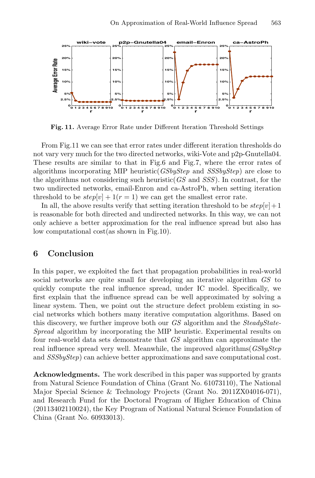

**Fig. 11.** Average Error Rate under Different Iteration Threshold Settings

From Fig.11 we can see that error rates under different iteration thresholds do not vary very much for the two directed networks, wiki-Vote and p2p-Gnutella04. These results are similar to that in Fig.6 and Fig.7, where the error rates of algorithms incorporating MIP heuristic(*GSbyStep* and *SSSbyStep*) are close to the algorithms not considering such heuristic(*GS* and *SSS*). In contrast, for the two undirected networks, email-Enron and ca-AstroPh, when setting iteration threshold to be  $step[v] + 1(r = 1)$  we can get the smallest error rate.

In all, the above results verify that setting iteration threshold to be  $step[v]+1$ is reasonable for both directed and undirected networks. In this way, we can not only achieve a better approximation for the real influence spread but also has low computational cost(as shown in Fig.10).

## **6 Conclusion**

In this paper, we exploited the fact that propagation probabilities in real-world social networks are quite small for developing an iterative algorithm *GS* to quickly compute the real influence spread, under IC model. Specifically, we first explain that the influence spread can be well approximated by solving a linear system. Then, we point out the structure defect problem existing in social networks which bothers many iterative computation algorithms. Based on this discovery, we further improve both our *GS* algorithm and the *SteadyState-Spread* algorithm by incorporating the MIP heuristic. Experimental results on four real-world data sets demonstrate that *GS* algorithm can approximate the real influence spread very well. Meanwhile, the improved algorithms(*GSbyStep* and *SSSbyStep*) can achieve better approximations and save computational cost.

**Acknowledgments.** The work described in this paper was supported by grants from Natural Science Foundation of China (Grant No. 61073110), The National Major Special Science & Technology Projects (Grant No. 2011ZX04016-071), and Research Fund for the Doctoral Program of Higher Education of China (20113402110024), the Key Program of National Natural Science Foundation of China (Grant No. 60933013).